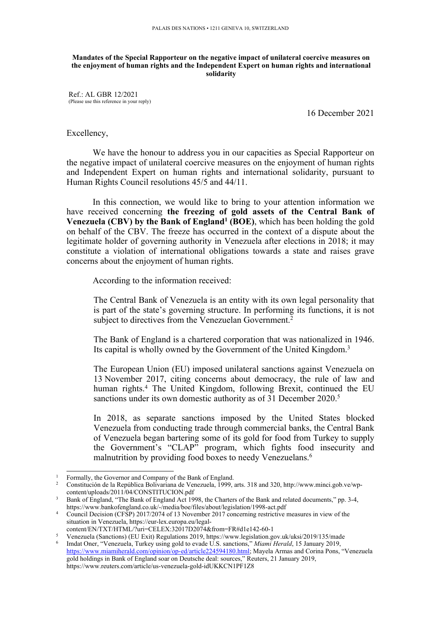#### **Mandates of the Special Rapporteur on the negative impact of unilateral coercive measures on the enjoyment of human rights and the Independent Expert on human rights and international solidarity**

Ref.: AL GBR 12/2021 (Please use this reference in your reply)

16 December 2021

## Excellency,

We have the honour to address you in our capacities as Special Rapporteur on the negative impact of unilateral coercive measures on the enjoyment of human rights and Independent Expert on human rights and international solidarity, pursuan<sup>t</sup> to Human Rights Council resolutions 45/5 and 44/11.

In this connection, we would like to bring to your attention information we have received concerning **the freezing of gold assets of the Central Bank of Venezuela (CBV) by the Bank of England<sup>1</sup> (BOE)**, which has been holding the gold on behalf of the CBV. The freeze has occurred in the context of <sup>a</sup> dispute about the legitimate holder of governing authority in Venezuela after elections in 2018; it may constitute <sup>a</sup> violation of international obligations towards <sup>a</sup> state and raises grave concerns about the enjoyment of human rights.

According to the information received:

The Central Bank of Venezuela is an entity with its own legal personality that is par<sup>t</sup> of the state'<sup>s</sup> governing structure. In performing its functions, it is not subject to directives from the Venezuelan Government.<sup>2</sup>

The Bank of England is <sup>a</sup> chartered corporation that was nationalized in 1946. Its capital is wholly owned by the Government of the United Kingdom. 3

The European Union (EU) imposed unilateral sanctions against Venezuela on 13 November 2017, citing concerns about democracy, the rule of law and human rights. 4 The United Kingdom, following Brexit, continued the EU sanctions under its own domestic authority as of 31 December 2020. 5

In 2018, as separate sanctions imposed by the United States blocked Venezuela from conducting trade through commercial banks, the Central Bank of Venezuela began bartering some of its gold for food from Turkey to supply the Government'<sup>s</sup> "CLAP" program, which fights food insecurity and malnutrition by providing food boxes to needy Venezuelans. 6

<sup>4</sup> Council Decision (CFSP) 2017/2074 of 13 November 2017 concerning restrictive measures in view of the situation in Venezuela, https://eur-lex.europa.eu/legalcontent/EN/TXT/HTML/?uri=CELEX:32017D2074&from=FR#d1e142-60-1

<sup>&</sup>lt;sup>1</sup> Formally, the Governor and Company of the Bank of England.

<sup>&</sup>lt;sup>2</sup> Constitución de la República Bolivariana de Venezuela, 1999, arts. 318 and 320, http://www.minci.gob.ve/wpcontent/uploads/2011/04/CONSTITUCION.pdf

<sup>&</sup>lt;sup>3</sup> Bank of England, "The Bank of England Act 1998, the Charters of the Bank and related documents," pp. 3-4, https://www.bankofengland.co.uk/-/media/boe/files/about/legislation/1998-act.pdf

<sup>5</sup> Venezuela (Sanctions) (EU Exit) Regulations 2019, https://www.legislation.gov.uk/uksi/2019/135/made 6 Imdat Oner, "Venezuela, Turkey using gold to evade U.S. sanctions," *Miami Herald*, 15 January 2019, <https://www.miamiherald.com/opinion/op-ed/article224594180.html>; Mayela Armas and Corina Pons, "Venezuela gold holdings in Bank of England soar on Deutsche deal: sources," Reuters, 21 January 2019, https://www.reuters.com/article/us-venezuela-gold-idUKKCN1PF1Z8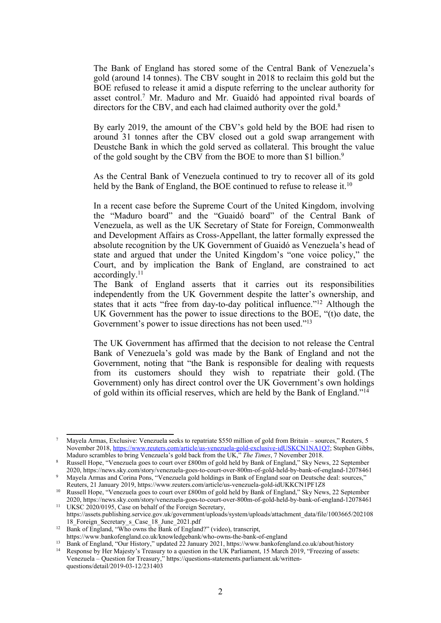The Bank of England has stored some of the Central Bank of Venezuela'<sup>s</sup> gold (around 14 tonnes). The CBV sought in 2018 to reclaim this gold but the BOE refused to release it amid <sup>a</sup> dispute referring to the unclear authority for asset control. <sup>7</sup> Mr. Maduro and Mr. Guaidó had appointed rival boards of directors for the CBV, and each had claimed authority over the gold.<sup>8</sup>

By early 2019, the amount of the CBV'<sup>s</sup> gold held by the BOE had risen to around 31 tonnes after the CBV closed out <sup>a</sup> gold swap arrangemen<sup>t</sup> with Deustche Bank in which the gold served as collateral. This brought the value of the gold sought by the CBV from the BOE to more than \$1 billion.<sup>9</sup>

As the Central Bank of Venezuela continued to try to recover all of its gold held by the Bank of England, the BOE continued to refuse to release it.<sup>10</sup>

In <sup>a</sup> recent case before the Supreme Court of the United Kingdom, involving the "Maduro board" and the "Guaidó board" of the Central Bank of Venezuela, as well as the UK Secretary of State for Foreign, Commonwealth and Development Affairs as Cross-Appellant, the latter formally expressed the absolute recognition by the UK Government of Guaidó as Venezuela'<sup>s</sup> head of state and argued that under the United Kingdom'<sup>s</sup> "one voice policy," the Court, and by implication the Bank of England, are constrained to act accordingly.<sup>11</sup>

The Bank of England asserts that it carries out its responsibilities independently from the UK Government despite the latter'<sup>s</sup> ownership, and states that it acts "free from day-to-day political influence."<sup>12</sup> Although the UK Government has the power to issue directions to the BOE, "(t)o date, the Government's power to issue directions has not been used."<sup>13</sup>

The UK Government has affirmed that the decision to not release the Central Bank of Venezuela'<sup>s</sup> gold was made by the Bank of England and not the Government, noting that "the Bank is responsible for dealing with requests from its customers should they wish to repatriate their gold. (The Government) only has direct control over the UK Government'<sup>s</sup> own holdings of gold within its official reserves, which are held by the Bank of England."<sup>14</sup>

<sup>7</sup> Mayela Armas, Exclusive: Venezuela seeks to repatriate \$550 million of gold from Britain – sources," Reuters, 5 November 2018, <https://www.reuters.com/article/us-venezuela-gold-exclusive-idUSKCN1NA1Q7>; Stephen Gibbs, Maduro scrambles to bring Venezuela'<sup>s</sup> gold back from the UK," *The Times*, 7 November 2018.

<sup>8</sup> Russell Hope, "Venezuela goes to court over £800m of gold held by Bank of England," Sky News, 22 September 2020, https://news.sky.com/story/venezuela-goes-to-court-over-800m-of-gold-held-by-bank-of-england-12078461

<sup>9</sup> Mayela Armas and Corina Pons, "Venezuela gold holdings in Bank of England soar on Deutsche deal: sources," Reuters, 21 January 2019, https://www.reuters.com/article/us-venezuela-gold-idUKKCN1PF1Z8

<sup>10</sup> Russell Hope, "Venezuela goes to court over £800m of gold held by Bank of England," Sky News, <sup>22</sup> September 2020, https://news.sky.com/story/venezuela-goes-to-court-over-800m-of-gold-held-by-bank-of-england-12078461 <sup>11</sup> UKSC 2020/0195, Case on behalf of the Foreign Secretary,

https://assets.publishing.service.gov.uk/government/uploads/system/uploads/attachment\_data/file/1003665/202108 18\_Foreign\_Secretary\_s\_Case\_18\_June\_2021.pdf

<sup>&</sup>lt;sup>12</sup> Bank of England, "Who owns the Bank of England?" (video), transcript,

https://www.bankofengland.co.uk/knowledgebank/who-owns-the-bank-of-england

<sup>&</sup>lt;sup>13</sup> Bank of England, "Our History," updated 22 January 2021, https://www.bankofengland.co.uk/about/history

<sup>&</sup>lt;sup>14</sup> Response by Her Majesty's Treasury to a question in the UK Parliament, 15 March 2019, "Freezing of assets: Venezuela – Question for Treasury," https://questions-statements.parliament.uk/writtenquestions/detail/2019-03-12/231403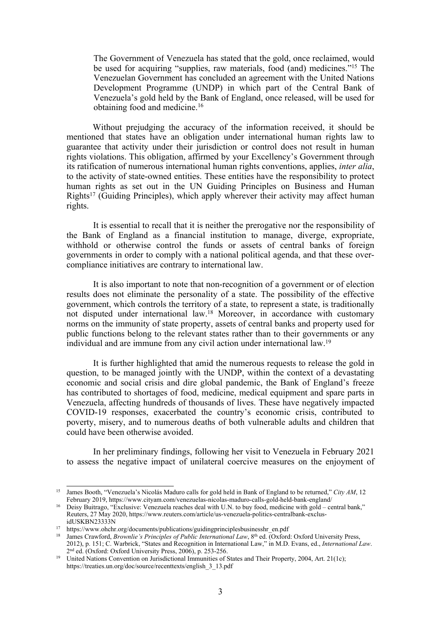The Government of Venezuela has stated that the gold, once reclaimed, would be used for acquiring "supplies, raw materials, food (and) medicines."<sup>15</sup> The Venezuelan Government has concluded an agreemen<sup>t</sup> with the United Nations Development Programme (UNDP) in which par<sup>t</sup> of the Central Bank of Venezuela'<sup>s</sup> gold held by the Bank of England, once released, will be used for obtaining food and medicine. 16

Without prejudging the accuracy of the information received, it should be mentioned that states have an obligation under international human rights law to guarantee that activity under their jurisdiction or control does not result in human rights violations. This obligation, affirmed by your Excellency'<sup>s</sup> Government through its ratification of numerous international human rights conventions, applies, *inter alia*, to the activity of state-owned entities. These entities have the responsibility to protect human rights as set out in the UN Guiding Principles on Business and Human Rights<sup>17</sup> (Guiding Principles), which apply wherever their activity may affect human rights.

It is essential to recall that it is neither the prerogative nor the responsibility of the Bank of England as <sup>a</sup> financial institution to manage, diverge, expropriate, withhold or otherwise control the funds or assets of central banks of foreign governments in order to comply with <sup>a</sup> national political agenda, and that these overcompliance initiatives are contrary to international law.

It is also important to note that non-recognition of <sup>a</sup> governmen<sup>t</sup> or of election results does not eliminate the personality of <sup>a</sup> state. The possibility of the effective government, which controls the territory of <sup>a</sup> state, to represen<sup>t</sup> <sup>a</sup> state, is traditionally not disputed under international law. <sup>18</sup> Moreover, in accordance with customary norms on the immunity of state property, assets of central banks and property used for public functions belong to the relevant states rather than to their governments or any individual and are immune from any civil action under international law.<sup>19</sup>

It is further highlighted that amid the numerous requests to release the gold in question, to be managed jointly with the UNDP, within the context of <sup>a</sup> devastating economic and social crisis and dire global pandemic, the Bank of England'<sup>s</sup> freeze has contributed to shortages of food, medicine, medical equipment and spare parts in Venezuela, affecting hundreds of thousands of lives. These have negatively impacted COVID-19 responses, exacerbated the country'<sup>s</sup> economic crisis, contributed to poverty, misery, and to numerous deaths of both vulnerable adults and children that could have been otherwise avoided.

In her preliminary findings, following her visit to Venezuela in February 2021 to assess the negative impact of unilateral coercive measures on the enjoyment of

<sup>15</sup> James Booth, "Venezuela'<sup>s</sup> Nicolás Maduro calls for gold held in Bank of England to be returned," *City AM*, 12 February 2019, https://www.cityam.com/venezuelas-nicolas-maduro-calls-gold-held-bank-england/

<sup>&</sup>lt;sup>16</sup> Deisy Buitrago, "Exclusive: Venezuela reaches deal with U.N. to buy food, medicine with gold – central bank," Reuters, 27 May 2020, https://www.reuters.com/article/us-venezuela-politics-centralbank-exclusidUSKBN23333N

<sup>&</sup>lt;sup>17</sup> https://www.ohchr.org/documents/publications/guidingprinciplesbusinesshr\_en.pdf

<sup>18</sup> James Crawford, *Brownlie'<sup>s</sup> Principles of Public International Law*, 8th ed. (Oxford: Oxford University Press, 2012), p. 151; C. Warbrick, "States and Recognition in International Law," in M.D. Evans, ed., *International Law*. 2nd ed. (Oxford: Oxford University Press, 2006), p. 253-256.

<sup>19</sup> United Nations Convention on Jurisdictional Immunities of States and Their Property, 2004, Art. 21(1c); https://treaties.un.org/doc/source/recenttexts/english\_3\_13.pdf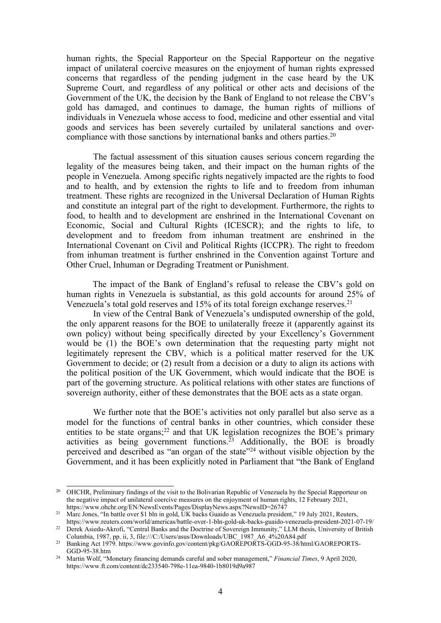human rights, the Special Rapporteur on the Special Rapporteur on the negative impact of unilateral coercive measures on the enjoyment of human rights expressed concerns that regardless of the pending judgment in the case heard by the UK Supreme Court, and regardless of any political or other acts and decisions of the Government of the UK, the decision by the Bank of England to not release the CBV'<sup>s</sup> gold has damaged, and continues to damage, the human rights of millions of individuals in Venezuela whose access to food, medicine and other essential and vital goods and services has been severely curtailed by unilateral sanctions and overcompliance with those sanctions by international banks and others parties. 20

The factual assessment of this situation causes serious concern regarding the legality of the measures being taken, and their impact on the human rights of the people in Venezuela. Among specific rights negatively impacted are the rights to food and to health, and by extension the rights to life and to freedom from inhuman treatment. These rights are recognized in the Universal Declaration of Human Rights and constitute an integral par<sup>t</sup> of the right to development. Furthermore, the rights to food, to health and to development are enshrined in the International Covenant on Economic, Social and Cultural Rights (ICESCR); and the rights to life, to development and to freedom from inhuman treatment are enshrined in the International Covenant on Civil and Political Rights (ICCPR). The right to freedom from inhuman treatment is further enshrined in the Convention against Torture and Other Cruel, Inhuman or Degrading Treatment or Punishment.

The impact of the Bank of England'<sup>s</sup> refusal to release the CBV'<sup>s</sup> gold on human rights in Venezuela is substantial, as this gold accounts for around 25% of Venezuela'<sup>s</sup> total gold reserves and 15% of its total foreign exchange reserves. 21

In view of the Central Bank of Venezuela'<sup>s</sup> undisputed ownership of the gold, the only apparen<sup>t</sup> reasons for the BOE to unilaterally freeze it (apparently against its own policy) without being specifically directed by your Excellency'<sup>s</sup> Government would be (1) the BOE'<sup>s</sup> own determination that the requesting party might not legitimately represen<sup>t</sup> the CBV, which is <sup>a</sup> political matter reserved for the UK Government to decide; or (2) result from <sup>a</sup> decision or <sup>a</sup> duty to align its actions with the political position of the UK Government, which would indicate that the BOE is par<sup>t</sup> of the governing structure. As political relations with other states are functions of sovereign authority, either of these demonstrates that the BOE acts as <sup>a</sup> state organ.

We further note that the BOE'<sup>s</sup> activities not only parallel but also serve as <sup>a</sup> model for the functions of central banks in other countries, which consider these entities to be state organs;<sup>22</sup> and that UK legislation recognizes the BOE's primary activities as being governmen<sup>t</sup> functions. <sup>23</sup> Additionally, the BOE is broadly perceived and described as "an organ of the state"<sup>24</sup> without visible objection by the Government, and it has been explicitly noted in Parliament that "the Bank of England

<sup>&</sup>lt;sup>20</sup> OHCHR, Preliminary findings of the visit to the Bolivarian Republic of Venezuela by the Special Rapporteur on the negative impact of unilateral coercive measures on the enjoyment of human rights, 12 February 2021, https://www.ohchr.org/EN/NewsEvents/Pages/DisplayNews.aspx?NewsID=26747

<sup>&</sup>lt;sup>21</sup> Marc Jones, "In battle over \$1 bln in gold, UK backs Guaido as Venezuela president," 19 July 2021, Reuters,

https://www.reuters.com/world/americas/battle-over-1-bln-gold-uk-backs-guaido-venezuela-president-2021-07-19/ <sup>22</sup> Derek Asiedu-Akrofi, "Central Banks and the Doctrine of Sovereign Immunity," LLM thesis, University of British

Columbia, 1987, pp. ii, 3, file:///C:/Users/asus/Downloads/UBC\_1987\_A6\_4%20A84.pdf <sup>23</sup> Banking Act 1979. https://www.govinfo.gov/content/pkg/GAOREPORTS-GGD-95-38/html/GAOREPORTS-GGD-95-38.htm

<sup>24</sup> Martin Wolf, "Monetary financing demands careful and sober management," *Financial Times*, 9 April 2020, https://www.ft.com/content/dc233540-798e-11ea-9840-1b8019d9a987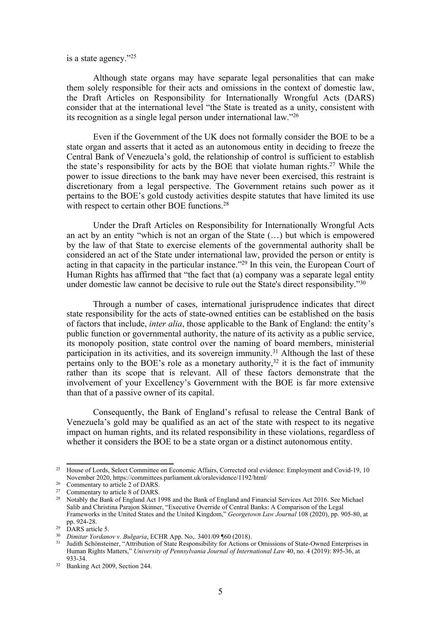is <sup>a</sup> state agency."<sup>25</sup>

Although state organs may have separate legal personalities that can make them solely responsible for their acts and omissions in the context of domestic law, the Draft Articles on Responsibility for Internationally Wrongful Acts (DARS) consider that at the international level "the State is treated as <sup>a</sup> unity, consistent with its recognition as <sup>a</sup> single legal person under international law."<sup>26</sup>

Even if the Government of the UK does not formally consider the BOE to be <sup>a</sup> state organ and asserts that it acted as an autonomous entity in deciding to freeze the Central Bank of Venezuela'<sup>s</sup> gold, the relationship of control is sufficient to establish the state'<sup>s</sup> responsibility for acts by the BOE that violate human rights. <sup>27</sup> While the power to issue directions to the bank may have never been exercised, this restraint is discretionary from <sup>a</sup> legal perspective. The Government retains such power as it pertains to the BOE'<sup>s</sup> gold custody activities despite statutes that have limited its use with respect to certain other BOE functions.<sup>28</sup>

Under the Draft Articles on Responsibility for Internationally Wrongful Acts an act by an entity "which is not an organ of the State (…) but which is empowered by the law of that State to exercise elements of the governmental authority shall be considered an act of the State under international law, provided the person or entity is acting in that capacity in the particular instance."<sup>29</sup> In this vein, the European Court of Human Rights has affirmed that "the fact that (a) company was <sup>a</sup> separate legal entity under domestic law cannot be decisive to rule out the State's direct responsibility."<sup>30</sup>

Through <sup>a</sup> number of cases, international jurisprudence indicates that direct state responsibility for the acts of state-owned entities can be established on the basis of factors that include, *inter alia*, those applicable to the Bank of England: the entity'<sup>s</sup> public function or governmental authority, the nature of its activity as <sup>a</sup> public service, its monopoly position, state control over the naming of board members, ministerial participation in its activities, and its sovereign immunity. <sup>31</sup> Although the last of these pertains only to the BOE's role as a monetary authority,<sup>32</sup> it is the fact of immunity rather than its scope that is relevant. All of these factors demonstrate that the involvement of your Excellency'<sup>s</sup> Government with the BOE is far more extensive than that of <sup>a</sup> passive owner of its capital.

Consequently, the Bank of England'<sup>s</sup> refusal to release the Central Bank of Venezuela'<sup>s</sup> gold may be qualified as an act of the state with respec<sup>t</sup> to its negative impact on human rights, and its related responsibility in these violations, regardless of whether it considers the BOE to be <sup>a</sup> state organ or <sup>a</sup> distinct autonomous entity.

<sup>&</sup>lt;sup>25</sup> House of Lords, Select Committee on Economic Affairs, Corrected oral evidence: Employment and Covid-19, 10 November 2020, https://committees.parliament.uk/oralevidence/1192/html/

<sup>&</sup>lt;sup>26</sup> Commentary to article 2 of DARS.

<sup>&</sup>lt;sup>27</sup> Commentary to article 8 of DARS.

<sup>&</sup>lt;sup>28</sup> Notably the Bank of England Act 1998 and the Bank of England and Financial Services Act 2016. See Michael Salib and Christina Parajon Skinner, "Executive Override of Central Banks: A Comparison of the Legal Frameworks in the United States and the United Kingdom," *Georgetown Law Journal* 108 (2020), pp. 905-80, at pp. 924-28.

 $29$  DARS article 5.

<sup>30</sup> *Dimitar Yordanov v. Bulgaria*, ECHR App. No,. 3401/09 ¶60 (2018).

<sup>&</sup>lt;sup>31</sup> Judith Schönsteiner, "Attribution of State Responsibility for Actions or Omissions of State-Owned Enterprises in Human Rights Matters," *University of Pennsylvania Journal of International Law* 40, no. 4 (2019): 895-36, at 933-34.

<sup>32</sup> Banking Act 2009, Section 244.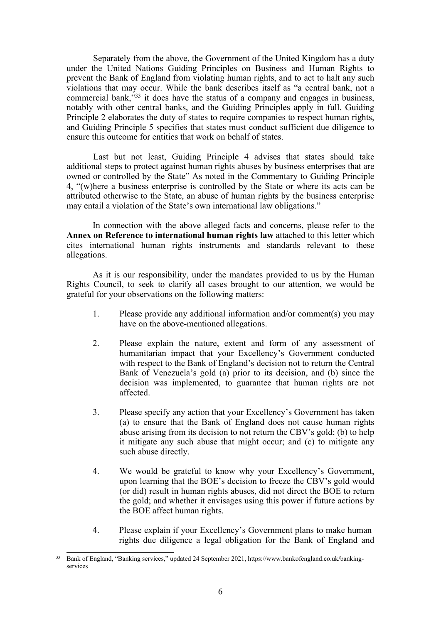Separately from the above, the Government of the United Kingdom has <sup>a</sup> duty under the United Nations Guiding Principles on Business and Human Rights to preven<sup>t</sup> the Bank of England from violating human rights, and to act to halt any such violations that may occur. While the bank describes itself as "<sup>a</sup> central bank, not <sup>a</sup> commercial bank,"<sup>33</sup> it does have the status of <sup>a</sup> company and engages in business, notably with other central banks, and the Guiding Principles apply in full. Guiding Principle 2 elaborates the duty of states to require companies to respec<sup>t</sup> human rights, and Guiding Principle 5 specifies that states must conduct sufficient due diligence to ensure this outcome for entities that work on behalf of states.

Last but not least, Guiding Principle 4 advises that states should take additional steps to protect against human rights abuses by business enterprises that are owned or controlled by the State" As noted in the Commentary to Guiding Principle 4, "(w)here <sup>a</sup> business enterprise is controlled by the State or where its acts can be attributed otherwise to the State, an abuse of human rights by the business enterprise may entail <sup>a</sup> violation of the State'<sup>s</sup> own international law obligations."

In connection with the above alleged facts and concerns, please refer to the **Annex on Reference to international human rights law** attached to this letter which cites international human rights instruments and standards relevant to these allegations.

As it is our responsibility, under the mandates provided to us by the Human Rights Council, to seek to clarify all cases brought to our attention, we would be grateful for your observations on the following matters:

- 1. Please provide any additional information and/or comment(s) you may have on the above-mentioned allegations.
- 2. Please explain the nature, extent and form of any assessment of humanitarian impact that your Excellency'<sup>s</sup> Government conducted with respec<sup>t</sup> to the Bank of England'<sup>s</sup> decision not to return the Central Bank of Venezuela'<sup>s</sup> gold (a) prior to its decision, and (b) since the decision was implemented, to guarantee that human rights are not affected.
- 3. Please specify any action that your Excellency'<sup>s</sup> Government has taken (a) to ensure that the Bank of England does not cause human rights abuse arising from its decision to not return the CBV'<sup>s</sup> gold; (b) to help it mitigate any such abuse that might occur; and (c) to mitigate any such abuse directly.
- 4. We would be grateful to know why your Excellency'<sup>s</sup> Government, upon learning that the BOE'<sup>s</sup> decision to freeze the CBV'<sup>s</sup> gold would (or did) result in human rights abuses, did not direct the BOE to return the gold; and whether it envisages using this power if future actions by the BOE affect human rights.
- 4. Please explain if your Excellency'<sup>s</sup> Government plans to make human rights due diligence <sup>a</sup> legal obligation for the Bank of England and

<sup>33</sup> Bank of England, "Banking services," updated <sup>24</sup> September 2021, https://www.bankofengland.co.uk/bankingservices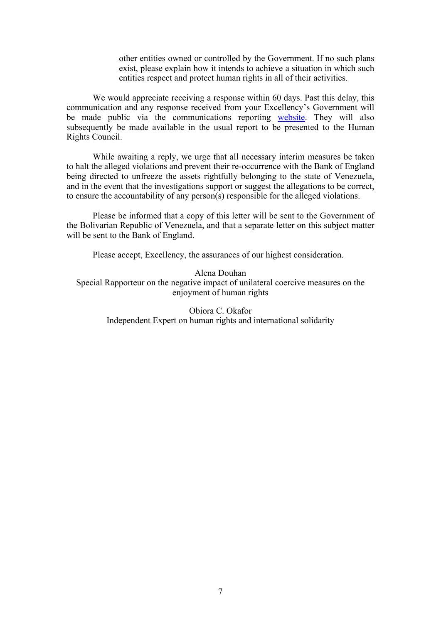other entities owned or controlled by the Government. If no such plans exist, please explain how it intends to achieve <sup>a</sup> situation in which such entities respec<sup>t</sup> and protect human rights in all of their activities.

We would appreciate receiving a response within 60 days. Past this delay, this communication and any response received from your Excellency'<sup>s</sup> Government will be made public via the communications reporting [website](https://spcommreports.ohchr.org/). They will also subsequently be made available in the usual repor<sup>t</sup> to be presented to the Human Rights Council.

While awaiting <sup>a</sup> reply, we urge that all necessary interim measures be taken to halt the alleged violations and preven<sup>t</sup> their re-occurrence with the Bank of England being directed to unfreeze the assets rightfully belonging to the state of Venezuela, and in the event that the investigations suppor<sup>t</sup> or sugges<sup>t</sup> the allegations to be correct, to ensure the accountability of any person(s) responsible for the alleged violations.

Please be informed that <sup>a</sup> copy of this letter will be sent to the Government of the Bolivarian Republic of Venezuela, and that <sup>a</sup> separate letter on this subject matter will be sent to the Bank of England.

Please accept, Excellency, the assurances of our highest consideration.

# Alena Douhan

Special Rapporteur on the negative impact of unilateral coercive measures on the enjoyment of human rights

> Obiora C. Okafor Independent Expert on human rights and international solidarity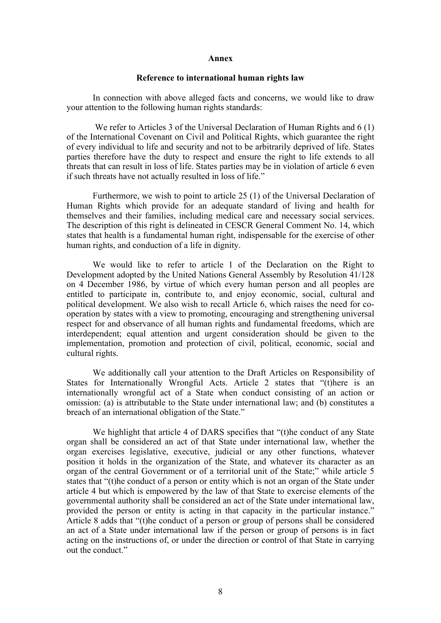### **Annex**

## **Reference to international human rights law**

In connection with above alleged facts and concerns, we would like to draw your attention to the following human rights standards:

We refer to Articles 3 of the Universal Declaration of Human Rights and 6 (1) of the International Covenant on Civil and Political Rights, which guarantee the right of every individual to life and security and not to be arbitrarily deprived of life. States parties therefore have the duty to respec<sup>t</sup> and ensure the right to life extends to all threats that can result in loss of life. States parties may be in violation of article 6 even if such threats have not actually resulted in loss of life."

Furthermore, we wish to point to article 25 (1) of the Universal Declaration of Human Rights which provide for an adequate standard of living and health for themselves and their families, including medical care and necessary social services. The description of this right is delineated in CESCR General Comment No. 14, which states that health is <sup>a</sup> fundamental human right, indispensable for the exercise of other human rights, and conduction of <sup>a</sup> life in dignity.

We would like to refer to article 1 of the Declaration on the Right to Development adopted by the United Nations General Assembly by Resolution 41/128 on 4 December 1986, by virtue of which every human person and all peoples are entitled to participate in, contribute to, and enjoy economic, social, cultural and political development. We also wish to recall Article 6, which raises the need for cooperation by states with <sup>a</sup> view to promoting, encouraging and strengthening universal respec<sup>t</sup> for and observance of all human rights and fundamental freedoms, which are interdependent; equal attention and urgen<sup>t</sup> consideration should be given to the implementation, promotion and protection of civil, political, economic, social and cultural rights.

We additionally call your attention to the Draft Articles on Responsibility of States for Internationally Wrongful Acts. Article 2 states that "(t)here is an internationally wrongful act of <sup>a</sup> State when conduct consisting of an action or omission: (a) is attributable to the State under international law; and (b) constitutes <sup>a</sup> breach of an international obligation of the State."

We highlight that article 4 of DARS specifies that "(t)he conduct of any State organ shall be considered an act of that State under international law, whether the organ exercises legislative, executive, judicial or any other functions, whatever position it holds in the organization of the State, and whatever its character as an organ of the central Government or of <sup>a</sup> territorial unit of the State;" while article 5 states that "(t)he conduct of <sup>a</sup> person or entity which is not an organ of the State under article 4 but which is empowered by the law of that State to exercise elements of the governmental authority shall be considered an act of the State under international law, provided the person or entity is acting in that capacity in the particular instance." Article 8 adds that "(t)he conduct of <sup>a</sup> person or group of persons shall be considered an act of <sup>a</sup> State under international law if the person or group of persons is in fact acting on the instructions of, or under the direction or control of that State in carrying out the conduct."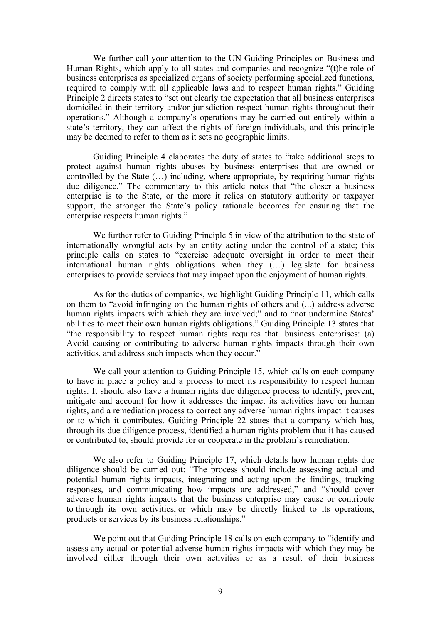We further call your attention to the UN Guiding Principles on Business and Human Rights, which apply to all states and companies and recognize "(t)he role of business enterprises as specialized organs of society performing specialized functions, required to comply with all applicable laws and to respec<sup>t</sup> human rights." Guiding Principle 2 directs states to "set out clearly the expectation that all business enterprises domiciled in their territory and/or jurisdiction respec<sup>t</sup> human rights throughout their operations." Although <sup>a</sup> company'<sup>s</sup> operations may be carried out entirely within <sup>a</sup> state'<sup>s</sup> territory, they can affect the rights of foreign individuals, and this principle may be deemed to refer to them as it sets no geographic limits.

Guiding Principle 4 elaborates the duty of states to "take additional steps to protect against human rights abuses by business enterprises that are owned or controlled by the State (…) including, where appropriate, by requiring human rights due diligence." The commentary to this article notes that "the closer <sup>a</sup> business enterprise is to the State, or the more it relies on statutory authority or taxpayer support, the stronger the State'<sup>s</sup> policy rationale becomes for ensuring that the enterprise respects human rights."

We further refer to Guiding Principle 5 in view of the attribution to the state of internationally wrongful acts by an entity acting under the control of <sup>a</sup> state; this principle calls on states to "exercise adequate oversight in order to meet their international human rights obligations when they (…) legislate for business enterprises to provide services that may impact upon the enjoyment of human rights.

As for the duties of companies, we highlight Guiding Principle 11, which calls on them to "avoid infringing on the human rights of others and (...) address adverse human rights impacts with which they are involved;" and to "not undermine States' abilities to meet their own human rights obligations." Guiding Principle 13 states that "the responsibility to respec<sup>t</sup> human rights requires that business enterprises: (a) Avoid causing or contributing to adverse human rights impacts through their own activities, and address such impacts when they occur."

We call your attention to Guiding Principle 15, which calls on each company to have in place <sup>a</sup> policy and <sup>a</sup> process to meet its responsibility to respec<sup>t</sup> human rights. It should also have <sup>a</sup> human rights due diligence process to identify, prevent, mitigate and account for how it addresses the impact its activities have on human rights, and <sup>a</sup> remediation process to correct any adverse human rights impact it causes or to which it contributes. Guiding Principle 22 states that <sup>a</sup> company which has, through its due diligence process, identified <sup>a</sup> human rights problem that it has caused or contributed to, should provide for or cooperate in the problem'<sup>s</sup> remediation.

We also refer to Guiding Principle 17, which details how human rights due diligence should be carried out: "The process should include assessing actual and potential human rights impacts, integrating and acting upon the findings, tracking responses, and communicating how impacts are addressed," and "should cover adverse human rights impacts that the business enterprise may cause or contribute to through its own activities, or which may be directly linked to its operations, products or services by its business relationships."

We point out that Guiding Principle 18 calls on each company to "identify and assess any actual or potential adverse human rights impacts with which they may be involved either through their own activities or as <sup>a</sup> result of their business